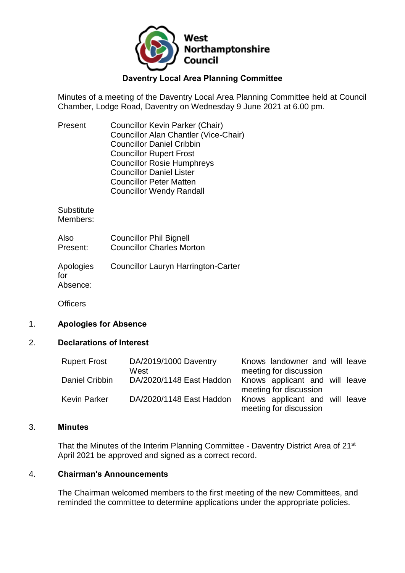

## **Daventry Local Area Planning Committee**

Minutes of a meeting of the Daventry Local Area Planning Committee held at Council Chamber, Lodge Road, Daventry on Wednesday 9 June 2021 at 6.00 pm.

| Present | <b>Councillor Kevin Parker (Chair)</b> |
|---------|----------------------------------------|
|         | Councillor Alan Chantler (Vice-Chair)  |
|         | <b>Councillor Daniel Cribbin</b>       |
|         | <b>Councillor Rupert Frost</b>         |
|         | <b>Councillor Rosie Humphreys</b>      |
|         | <b>Councillor Daniel Lister</b>        |
|         | <b>Councillor Peter Matten</b>         |
|         | <b>Councillor Wendy Randall</b>        |
|         |                                        |

**Substitute** Members:

| Also     | <b>Councillor Phil Bignell</b>   |
|----------|----------------------------------|
| Present: | <b>Councillor Charles Morton</b> |

Apologies for Absence: Councillor Lauryn Harrington-Carter

**Officers** 

### 1. **Apologies for Absence**

#### 2. **Declarations of Interest**

| <b>Rupert Frost</b> | DA/2019/1000 Daventry    | Knows landowner and will leave |
|---------------------|--------------------------|--------------------------------|
|                     | West                     | meeting for discussion         |
| Daniel Cribbin      | DA/2020/1148 East Haddon | Knows applicant and will leave |
|                     |                          | meeting for discussion         |
| <b>Kevin Parker</b> | DA/2020/1148 East Haddon | Knows applicant and will leave |
|                     |                          | meeting for discussion         |

#### 3. **Minutes**

That the Minutes of the Interim Planning Committee - Daventry District Area of 21st April 2021 be approved and signed as a correct record.

## 4. **Chairman's Announcements**

The Chairman welcomed members to the first meeting of the new Committees, and reminded the committee to determine applications under the appropriate policies.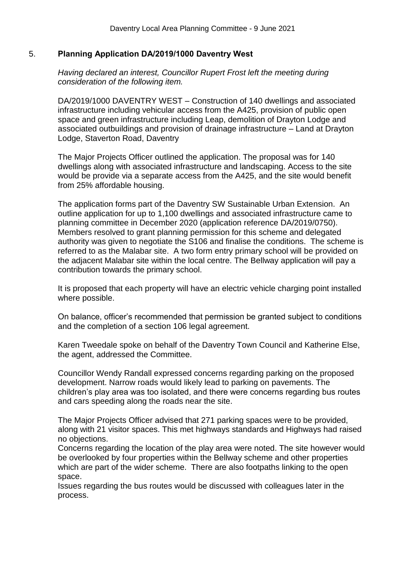## 5. **Planning Application DA/2019/1000 Daventry West**

*Having declared an interest, Councillor Rupert Frost left the meeting during consideration of the following item.*

DA/2019/1000 DAVENTRY WEST – Construction of 140 dwellings and associated infrastructure including vehicular access from the A425, provision of public open space and green infrastructure including Leap, demolition of Drayton Lodge and associated outbuildings and provision of drainage infrastructure – Land at Drayton Lodge, Staverton Road, Daventry

The Major Projects Officer outlined the application. The proposal was for 140 dwellings along with associated infrastructure and landscaping. Access to the site would be provide via a separate access from the A425, and the site would benefit from 25% affordable housing.

The application forms part of the Daventry SW Sustainable Urban Extension. An outline application for up to 1,100 dwellings and associated infrastructure came to planning committee in December 2020 (application reference DA/2019/0750). Members resolved to grant planning permission for this scheme and delegated authority was given to negotiate the S106 and finalise the conditions. The scheme is referred to as the Malabar site. A two form entry primary school will be provided on the adjacent Malabar site within the local centre. The Bellway application will pay a contribution towards the primary school.

It is proposed that each property will have an electric vehicle charging point installed where possible.

On balance, officer's recommended that permission be granted subject to conditions and the completion of a section 106 legal agreement.

Karen Tweedale spoke on behalf of the Daventry Town Council and Katherine Else, the agent, addressed the Committee.

Councillor Wendy Randall expressed concerns regarding parking on the proposed development. Narrow roads would likely lead to parking on pavements. The children's play area was too isolated, and there were concerns regarding bus routes and cars speeding along the roads near the site.

The Major Projects Officer advised that 271 parking spaces were to be provided, along with 21 visitor spaces. This met highways standards and Highways had raised no objections.

Concerns regarding the location of the play area were noted. The site however would be overlooked by four properties within the Bellway scheme and other properties which are part of the wider scheme. There are also footpaths linking to the open space.

Issues regarding the bus routes would be discussed with colleagues later in the process.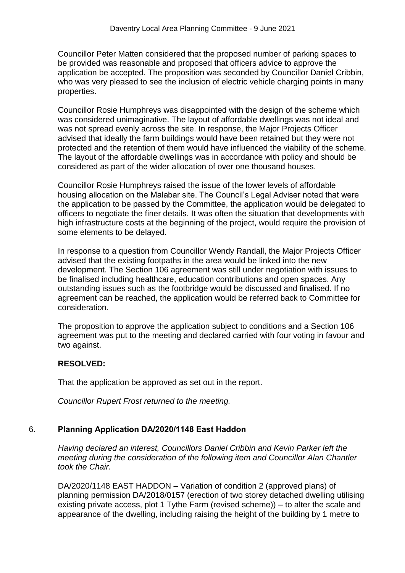Councillor Peter Matten considered that the proposed number of parking spaces to be provided was reasonable and proposed that officers advice to approve the application be accepted. The proposition was seconded by Councillor Daniel Cribbin, who was very pleased to see the inclusion of electric vehicle charging points in many properties.

Councillor Rosie Humphreys was disappointed with the design of the scheme which was considered unimaginative. The layout of affordable dwellings was not ideal and was not spread evenly across the site. In response, the Major Projects Officer advised that ideally the farm buildings would have been retained but they were not protected and the retention of them would have influenced the viability of the scheme. The layout of the affordable dwellings was in accordance with policy and should be considered as part of the wider allocation of over one thousand houses.

Councillor Rosie Humphreys raised the issue of the lower levels of affordable housing allocation on the Malabar site. The Council's Legal Adviser noted that were the application to be passed by the Committee, the application would be delegated to officers to negotiate the finer details. It was often the situation that developments with high infrastructure costs at the beginning of the project, would require the provision of some elements to be delayed.

In response to a question from Councillor Wendy Randall, the Major Projects Officer advised that the existing footpaths in the area would be linked into the new development. The Section 106 agreement was still under negotiation with issues to be finalised including healthcare, education contributions and open spaces. Any outstanding issues such as the footbridge would be discussed and finalised. If no agreement can be reached, the application would be referred back to Committee for consideration.

The proposition to approve the application subject to conditions and a Section 106 agreement was put to the meeting and declared carried with four voting in favour and two against.

# **RESOLVED:**

That the application be approved as set out in the report.

*Councillor Rupert Frost returned to the meeting.*

# 6. **Planning Application DA/2020/1148 East Haddon**

*Having declared an interest, Councillors Daniel Cribbin and Kevin Parker left the meeting during the consideration of the following item and Councillor Alan Chantler took the Chair.*

DA/2020/1148 EAST HADDON – Variation of condition 2 (approved plans) of planning permission DA/2018/0157 (erection of two storey detached dwelling utilising existing private access, plot 1 Tythe Farm (revised scheme)) – to alter the scale and appearance of the dwelling, including raising the height of the building by 1 metre to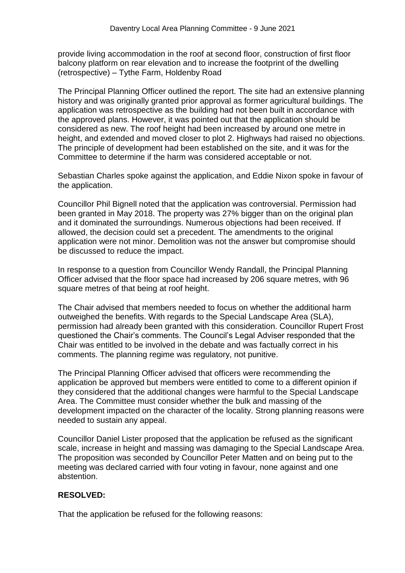provide living accommodation in the roof at second floor, construction of first floor balcony platform on rear elevation and to increase the footprint of the dwelling (retrospective) – Tythe Farm, Holdenby Road

The Principal Planning Officer outlined the report. The site had an extensive planning history and was originally granted prior approval as former agricultural buildings. The application was retrospective as the building had not been built in accordance with the approved plans. However, it was pointed out that the application should be considered as new. The roof height had been increased by around one metre in height, and extended and moved closer to plot 2. Highways had raised no objections. The principle of development had been established on the site, and it was for the Committee to determine if the harm was considered acceptable or not.

Sebastian Charles spoke against the application, and Eddie Nixon spoke in favour of the application.

Councillor Phil Bignell noted that the application was controversial. Permission had been granted in May 2018. The property was 27% bigger than on the original plan and it dominated the surroundings. Numerous objections had been received. If allowed, the decision could set a precedent. The amendments to the original application were not minor. Demolition was not the answer but compromise should be discussed to reduce the impact.

In response to a question from Councillor Wendy Randall, the Principal Planning Officer advised that the floor space had increased by 206 square metres, with 96 square metres of that being at roof height.

The Chair advised that members needed to focus on whether the additional harm outweighed the benefits. With regards to the Special Landscape Area (SLA), permission had already been granted with this consideration. Councillor Rupert Frost questioned the Chair's comments. The Council's Legal Adviser responded that the Chair was entitled to be involved in the debate and was factually correct in his comments. The planning regime was regulatory, not punitive.

The Principal Planning Officer advised that officers were recommending the application be approved but members were entitled to come to a different opinion if they considered that the additional changes were harmful to the Special Landscape Area. The Committee must consider whether the bulk and massing of the development impacted on the character of the locality. Strong planning reasons were needed to sustain any appeal.

Councillor Daniel Lister proposed that the application be refused as the significant scale, increase in height and massing was damaging to the Special Landscape Area. The proposition was seconded by Councillor Peter Matten and on being put to the meeting was declared carried with four voting in favour, none against and one abstention.

### **RESOLVED:**

That the application be refused for the following reasons: